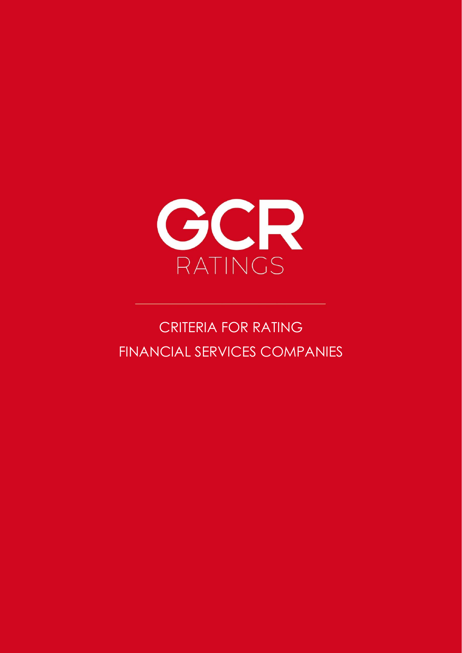

# CRITERIA FOR RATING FINANCIAL SERVICES COMPANIES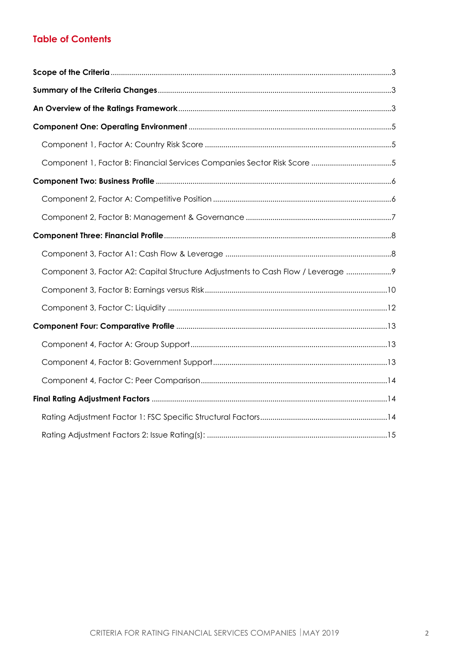## **Table of Contents**

<span id="page-1-0"></span>

| Component 1, Factor B: Financial Services Companies Sector Risk Score 5          |
|----------------------------------------------------------------------------------|
|                                                                                  |
|                                                                                  |
|                                                                                  |
|                                                                                  |
|                                                                                  |
| Component 3, Factor A2: Capital Structure Adjustments to Cash Flow / Leverage  9 |
|                                                                                  |
|                                                                                  |
|                                                                                  |
|                                                                                  |
|                                                                                  |
|                                                                                  |
|                                                                                  |
|                                                                                  |
|                                                                                  |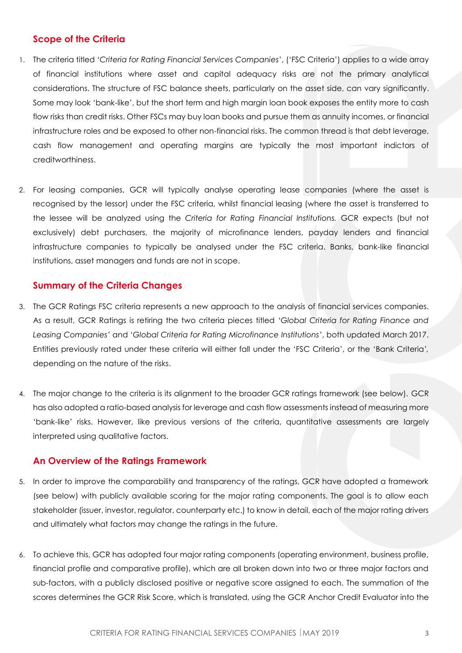## **Scope of the Criteria**

- 1. The criteria titled '*Criteria for Rating Financial Services Companies*', ('FSC Criteria') applies to a wide array of financial institutions where asset and capital adequacy risks are not the primary analytical considerations. The structure of FSC balance sheets, particularly on the asset side, can vary significantly. Some may look 'bank-like', but the short term and high margin loan book exposes the entity more to cash flow risks than credit risks. Other FSCs may buy loan books and pursue them as annuity incomes, or financial infrastructure roles and be exposed to other non-financial risks. The common thread is that debt leverage, cash flow management and operating margins are typically the most important indictors of creditworthiness.
- 2. For leasing companies, GCR will typically analyse operating lease companies (where the asset is recognised by the lessor) under the FSC criteria, whilst financial leasing (where the asset is transferred to the lessee will be analyzed using the *Criteria for Rating Financial Institutions.* GCR expects (but not exclusively) debt purchasers, the majority of microfinance lenders, payday lenders and financial infrastructure companies to typically be analysed under the FSC criteria. Banks, bank-like financial institutions, asset managers and funds are not in scope.

## <span id="page-2-0"></span>**Summary of the Criteria Changes**

- 3. The GCR Ratings FSC criteria represents a new approach to the analysis of financial services companies. As a result, GCR Ratings is retiring the two criteria pieces titled '*Global Criteria for Rating Finance and Leasing Companies'* and '*Global Criteria for Rating Microfinance Institutions'*, both updated March 2017. Entities previously rated under these criteria will either fall under the 'FSC Criteria', or the 'Bank Criteria*',*  depending on the nature of the risks.
- 4. The major change to the criteria is its alignment to the broader GCR ratings framework (see below). GCR has also adopted a ratio-based analysis for leverage and cash flow assessments instead of measuring more 'bank-like' risks. However, like previous versions of the criteria, quantitative assessments are largely interpreted using qualitative factors.

## <span id="page-2-1"></span>**An Overview of the Ratings Framework**

- 5. In order to improve the comparability and transparency of the ratings, GCR have adopted a framework (see below) with publicly available scoring for the major rating components. The goal is to allow each stakeholder (issuer, investor, regulator, counterparty etc.) to know in detail, each of the major rating drivers and ultimately what factors may change the ratings in the future.
- 6. To achieve this, GCR has adopted four major rating components (operating environment, business profile, financial profile and comparative profile), which are all broken down into two or three major factors and sub-factors, with a publicly disclosed positive or negative score assigned to each. The summation of the scores determines the GCR Risk Score, which is translated, using the GCR Anchor Credit Evaluator into the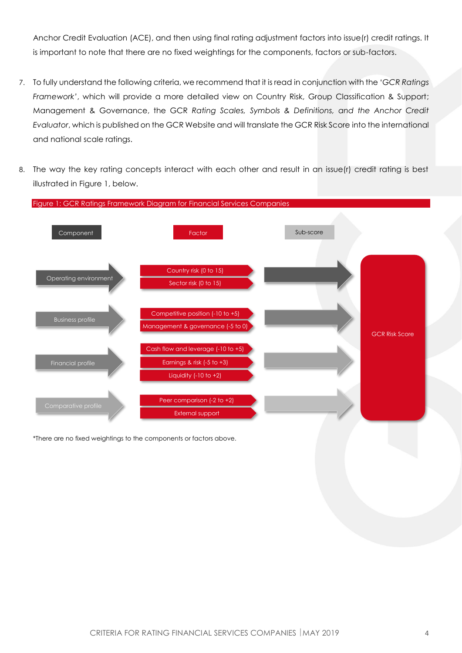Anchor Credit Evaluation (ACE), and then using final rating adjustment factors into issue(r) credit ratings. It is important to note that there are no fixed weightings for the components, factors or sub-factors.

- 7. To fully understand the following criteria, we recommend that it is read in conjunction with the '*GCR Ratings Framework'*, which will provide a more detailed view on Country Risk, Group Classification & Support; Management & Governance, the GCR *Rating Scales, Symbols & Definitions, and the Anchor Credit Evaluator*, which is published on the GCR Website and will translate the GCR Risk Score into the international and national scale ratings.
- 8. The way the key rating concepts interact with each other and result in an issue(r) credit rating is best illustrated in Figure 1, below.



\*There are no fixed weightings to the components or factors above.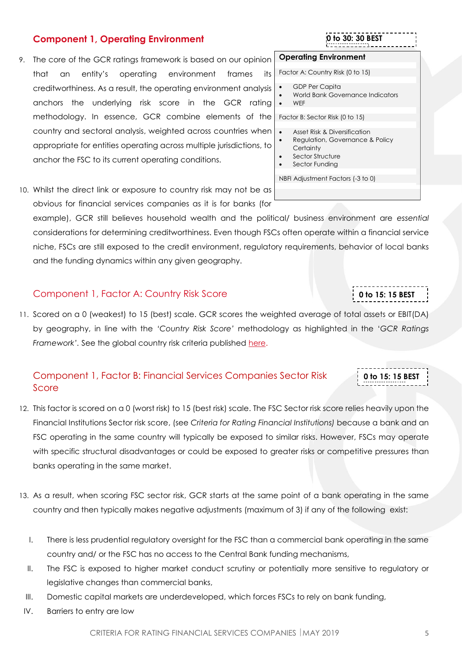### 9. The core of the GCR ratings framework is based on our opinion

<span id="page-4-0"></span>**Component 1, Operating Environment** 

- that an entity's operating environment frames its creditworthiness. As a result, the operating environment analysis anchors the underlying risk score in the GCR rating methodology. In essence, GCR combine elements of the country and sectoral analysis, weighted across countries when appropriate for entities operating across multiple jurisdictions, to anchor the FSC to its current operating conditions.
- 
- **0 to 30: 30 BEST**

**ST**

**0 to 15: 15 BEST**

**0 to 15: 15 BEST 1 to 30: 30 BEST**

### **Operating Environment**

Factor A: Country Risk (0 to 15)

- GDP Per Capita
- World Bank Governance Indicators

**1 to 30: 30 BEST**

• WEF

Factor B: Sector Risk (0 to 15)

- Asset Risk & Diversification
- Regulation, Governance & Policy **Certainty**
- Sector Structure
- Sector Funding

NBFI Adjustment Factors (-3 to 0)

|  |  | 10. Whilst the direct link or exposure to country risk may not be as |  |  |
|--|--|----------------------------------------------------------------------|--|--|
|  |  | obvious for financial services companies as it is for banks (for     |  |  |

example), GCR still believes household wealth and the political/ business environment are *essential*  considerations for determining creditworthiness. Even though FSCs often operate within a financial service niche, FSCs are still exposed to the credit environment, regulatory requirements, behavior of local banks and the funding dynamics within any given geography.

### <span id="page-4-1"></span>Component 1, Factor A: Country Risk Score

11. Scored on a 0 (weakest) to 15 (best) scale. GCR scores the weighted average of total assets or EBIT(DA) **ST** by geography, in line with the *'Country Risk Score'* methodology as highlighted in the '*GCR Ratings Framework'.* See the global country risk criteria published [here.](http://gcrratings.com/criteria)

## <span id="page-4-2"></span>Component 1, Factor B: Financial Services Companies Sector Risk Score

- 12. This factor is scored on a 0 (worst risk) to 15 (best risk) scale. The FSC Sector risk score relies heavily upon the Financial Institutions Sector risk score, (see *Criteria for Rating Financial Institutions)* because a bank and an FSC operating in the same country will typically be exposed to similar risks. However, FSCs may operate with specific structural disadvantages or could be exposed to greater risks or competitive pressures than banks operating in the same market.
- 13. As a result, when scoring FSC sector risk, GCR starts at the same point of a bank operating in the same country and then typically makes negative adjustments (maximum of 3) if any of the following exist:
	- I. There is less prudential regulatory oversight for the FSC than a commercial bank operating in the same country and/ or the FSC has no access to the Central Bank funding mechanisms,
	- II. The FSC is exposed to higher market conduct scrutiny or potentially more sensitive to regulatory or legislative changes than commercial banks,
	- III. Domestic capital markets are underdeveloped, which forces FSCs to rely on bank funding,
	- IV. Barriers to entry are low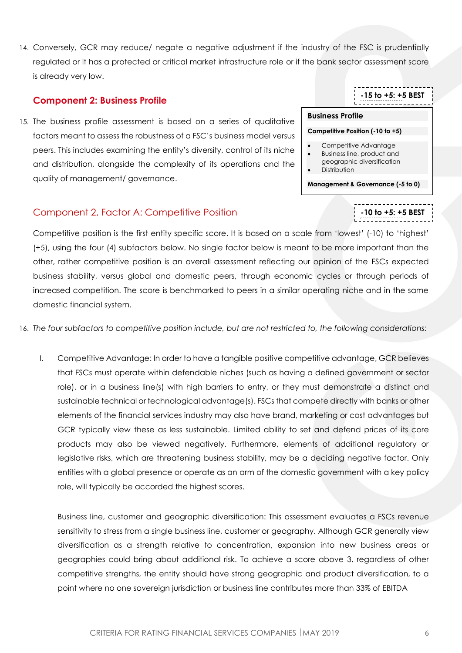14. Conversely, GCR may reduce/ negate a negative adjustment if the industry of the FSC is prudentially regulated or it has a protected or critical market infrastructure role or if the bank sector assessment score is already very low.

## <span id="page-5-0"></span>**Component 2: Business Profile**

15. The business profile assessment is based on a series of qualitative factors meant to assess the robustness of a FSC's business model versus peers. This includes examining the entity's diversity, control of its niche and distribution, alongside the complexity of its operations and the quality of management/ governance.

## <span id="page-5-1"></span>Component 2, Factor A: Competitive Position

Competitive position is the first entity specific score. It is based on a scale from 'lowest' (-10) to 'highest' (+5), using the four (4) subfactors below. No single factor below is meant to be more important than the other, rather competitive position is an overall assessment reflecting our opinion of the FSCs expected business stability, versus global and domestic peers, through economic cycles or through periods of increased competition. The score is benchmarked to peers in a similar operating niche and in the same domestic financial system.  $\overline{\mathbf{S}}$ 

16. *The four subfactors to competitive position include, but are not restricted to, the following considerations:*

I. Competitive Advantage: In order to have a tangible positive competitive advantage, GCR believes that FSCs must operate within defendable niches (such as having a defined government or sector role), or in a business line(s) with high barriers to entry, or they must demonstrate a distinct and sustainable technical or technological advantage(s). FSCs that compete directly with banks or other elements of the financial services industry may also have brand, marketing or cost advantages but GCR typically view these as less sustainable. Limited ability to set and defend prices of its core products may also be viewed negatively. Furthermore, elements of additional regulatory or legislative risks, which are threatening business stability, may be a deciding negative factor. Only entities with a global presence or operate as an arm of the domestic government with a key policy role, will typically be accorded the highest scores.

Business line, customer and geographic diversification: This assessment evaluates a FSCs revenue sensitivity to stress from a single business line, customer or geography. Although GCR generally view diversification as a strength relative to concentration, expansion into new business areas or geographies could bring about additional risk. To achieve a score above 3, regardless of other competitive strengths, the entity should have strong geographic and product diversification, to a point where no one sovereign jurisdiction or business line contributes more than 33% of EBITDA

## **-15 to +5: +5 BEST**

**-10 to +5: +5 BEST**

**1 to 30: 30 BEST**

**1 to 30: 30 BEST**

**ST**

### **Business Profile**

### **Competitive Position (-10 to +5)**

- Competitive Advantage
- Business line, product and geographic diversification
- **Distribution**
- 

**Management & Governance (-5 to 0)**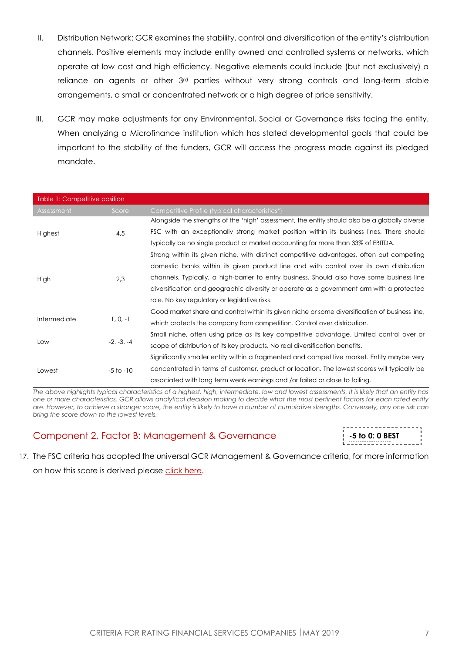- II. Distribution Network: GCR examines the stability, control and diversification of the entity's distribution channels. Positive elements may include entity owned and controlled systems or networks, which operate at low cost and high efficiency. Negative elements could include (but not exclusively) a reliance on agents or other 3rd parties without very strong controls and long-term stable arrangements, a small or concentrated network or a high degree of price sensitivity.
- III. GCR may make adjustments for any Environmental, Social or Governance risks facing the entity. When analyzing a Microfinance institution which has stated developmental goals that could be important to the stability of the funders, GCR will access the progress made against its pledged mandate.

| Table 1: Competitive position |               |                                                                                                |  |  |
|-------------------------------|---------------|------------------------------------------------------------------------------------------------|--|--|
| Assessment                    | Score         | Competitive Profile (typical characteristics*)                                                 |  |  |
|                               |               | Alongside the strengths of the 'high' assessment, the entity should also be a globally diverse |  |  |
| Highest                       | 4,5           | FSC with an exceptionally strong market position within its business lines. There should       |  |  |
|                               |               | typically be no single product or market accounting for more than 33% of EBITDA.               |  |  |
|                               |               | Strong within its given niche, with distinct competitive advantages, often out competing       |  |  |
|                               | 2,3           | domestic banks within its given product line and with control over its own distribution        |  |  |
| High                          |               | channels. Typically, a high-barrier to entry business. Should also have some business line     |  |  |
|                               |               | diversification and geographic diversity or operate as a government arm with a protected       |  |  |
|                               |               | role. No key regulatory or legislative risks.                                                  |  |  |
|                               | $1, 0, -1$    | Good market share and control within its given niche or some diversification of business line, |  |  |
| Intermediate                  |               | which protects the company from competition. Control over distribution.                        |  |  |
|                               | $-2, -3, -4$  | Small niche, often using price as its key competitive advantage. Limited control over or       |  |  |
| Low                           |               | scope of distribution of its key products. No real diversification benefits.                   |  |  |
|                               |               | Significantly smaller entity within a fragmented and competitive market. Entity maybe very     |  |  |
| Lowest                        | $-5$ to $-10$ | concentrated in terms of customer, product or location. The lowest scores will typically be    |  |  |
|                               |               | associated with long term weak earnings and /or failed or close to failing.                    |  |  |

*The above highlights typical characteristics of a highest, high, intermediate, low and lowest assessments. It is likely that an entity has one or more characteristics. GCR allows analytical decision making to decide what the most pertinent factors for each rated entity are. However, to achieve a stronger score, the entity is likely to have a number of cumulative strengths. Conversely, any one risk can bring the score down to the lowest levels.* 

## <span id="page-6-0"></span>Component 2, Factor B: Management & Governance



17. The FSC criteria has adopted the universal GCR Management & Governance criteria, for more information  $\mathbf{r}$ 

on how this score is derived please click [here.](https://globalratings.net/news/article/gcr-requests-public-comment-on-draft-ratings-framework-criteria-and-draft-r)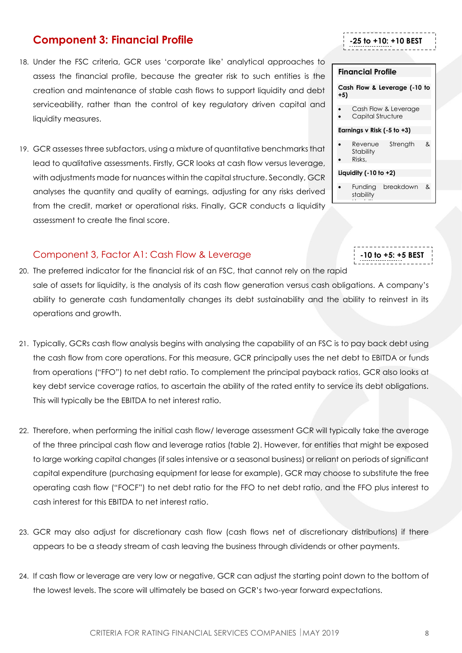## <span id="page-7-0"></span>**Component 3: Financial Profile**

- 18. Under the FSC criteria, GCR uses 'corporate like' analytical approaches to assess the financial profile, because the greater risk to such entities is the creation and maintenance of stable cash flows to support liquidity and debt serviceability, rather than the control of key regulatory driven capital and liquidity measures.
- 19. GCR assesses three subfactors, using a mixture of quantitative benchmarks that lead to qualitative assessments. Firstly, GCR looks at cash flow versus leverage, with adjustments made for nuances within the capital structure. Secondly, GCR analyses the quantity and quality of earnings, adjusting for any risks derived from the credit, market or operational risks. Finally, GCR conducts a liquidity assessment to create the final score.

## <span id="page-7-1"></span>Component 3, Factor A1: Cash Flow & Leverage

- 20. The preferred indicator for the financial risk of an FSC, that cannot rely on the rapid sale of assets for liquidity, is the analysis of its cash flow generation versus cash obligations. A company's ability to generate cash fundamentally changes its debt sustainability and the ability to reinvest in its operations and growth. **1 to 30: 30 BEST**
- 21. Typically, GCRs cash flow analysis begins with analysing the capability of an FSC is to pay back debt using the cash flow from core operations. For this measure, GCR principally uses the net debt to EBITDA or funds from operations ("FFO") to net debt ratio. To complement the principal payback ratios, GCR also looks at key debt service coverage ratios, to ascertain the ability of the rated entity to service its debt obligations. This will typically be the EBITDA to net interest ratio.
- 22. Therefore, when performing the initial cash flow/ leverage assessment GCR will typically take the average of the three principal cash flow and leverage ratios (table 2). However, for entities that might be exposed to large working capital changes (if sales intensive or a seasonal business) or reliant on periods of significant capital expenditure (purchasing equipment for lease for example), GCR may choose to substitute the free operating cash flow ("FOCF") to net debt ratio for the FFO to net debt ratio, and the FFO plus interest to cash interest for this EBITDA to net interest ratio.
- 23. GCR may also adjust for discretionary cash flow (cash flows net of discretionary distributions) if there appears to be a steady stream of cash leaving the business through dividends or other payments.
- 24. If cash flow or leverage are very low or negative, GCR can adjust the starting point down to the bottom of the lowest levels. The score will ultimately be based on GCR's two-year forward expectations.

## **Cash Flow & Leverage (-10 to +5)**

**-25 to +10: +10 BEST**

**1 to 30: 30 BEST**

- 
- **Stability**

• Liquidity

## **Liquidity (-10 to +2)**

• Funding breakdown & stability

**-10 to +5: +5 BEST**

# **Financial Profile**  Cash Flow & Leverage • Capital Structure **Earnings v Risk (-5 to +3)** • Revenue Strength & • Risks,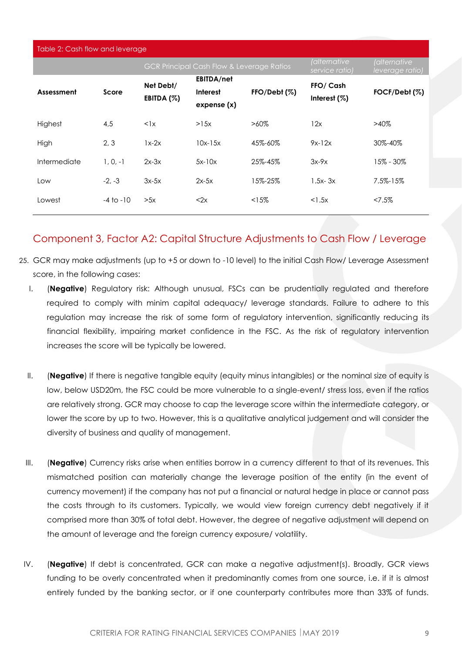| Table 2: Cash flow and leverage |               |              |                                                      |              |                               |                                 |
|---------------------------------|---------------|--------------|------------------------------------------------------|--------------|-------------------------------|---------------------------------|
|                                 |               |              | <b>GCR Principal Cash Flow &amp; Leverage Ratios</b> |              | (alternative<br>service ratio | (alternative<br>leverage ratio) |
|                                 | Score         | Net Debt/    | <b>EBITDA/net</b>                                    |              | FFO/ Cash                     |                                 |
| Assessment                      |               | EBITDA $(%)$ | Interest                                             | FFO/Debt (%) | Interest $(%)$                | FOCF/Debt (%)                   |
|                                 |               |              | expense(x)                                           |              |                               |                                 |
| Highest                         | 4,5           | $\langle$ 1x | >15x                                                 | $>60\%$      | 12x                           | $>40\%$                         |
| High                            | 2.3           | $1x-2x$      | $10x-15x$                                            | 45%-60%      | $9x-12x$                      | 30%-40%                         |
| Intermediate                    | $1, 0, -1$    | $2x-3x$      | $5x-10x$                                             | 25%-45%      | $3x-9x$                       | 15% - 30%                       |
| Low                             | $-2. -3$      | $3x-5x$      | $2x-5x$                                              | 15%-25%      | $1.5x - 3x$                   | 7.5%-15%                        |
| Lowest                          | $-4$ to $-10$ | >5x          | < 2x                                                 | <15%         | $<$ 1.5 $\times$              | $27.5\%$                        |
|                                 |               |              |                                                      |              |                               |                                 |

## <span id="page-8-0"></span>Component 3, Factor A2: Capital Structure Adjustments to Cash Flow / Leverage

- 25. GCR may make adjustments (up to +5 or down to -10 level) to the initial Cash Flow/ Leverage Assessment score, in the following cases:
	- I. (**Negative**) Regulatory risk: Although unusual, FSCs can be prudentially regulated and therefore required to comply with minim capital adequacy/ leverage standards. Failure to adhere to this regulation may increase the risk of some form of regulatory intervention, significantly reducing its financial flexibility, impairing market confidence in the FSC. As the risk of regulatory intervention increases the score will be typically be lowered.
	- II. (**Negative**) If there is negative tangible equity (equity minus intangibles) or the nominal size of equity is low, below USD20m, the FSC could be more vulnerable to a single-event/ stress loss, even if the ratios are relatively strong. GCR may choose to cap the leverage score within the intermediate category, or lower the score by up to two. However, this is a qualitative analytical judgement and will consider the diversity of business and quality of management.
	- III. (**Negative**) Currency risks arise when entities borrow in a currency different to that of its revenues. This mismatched position can materially change the leverage position of the entity (in the event of currency movement) if the company has not put a financial or natural hedge in place or cannot pass the costs through to its customers. Typically, we would view foreign currency debt negatively if it comprised more than 30% of total debt. However, the degree of negative adjustment will depend on the amount of leverage and the foreign currency exposure/ volatility.
- IV. (**Negative**) If debt is concentrated, GCR can make a negative adjustment(s). Broadly, GCR views funding to be overly concentrated when it predominantly comes from one source, i.e. if it is almost entirely funded by the banking sector, or if one counterparty contributes more than 33% of funds.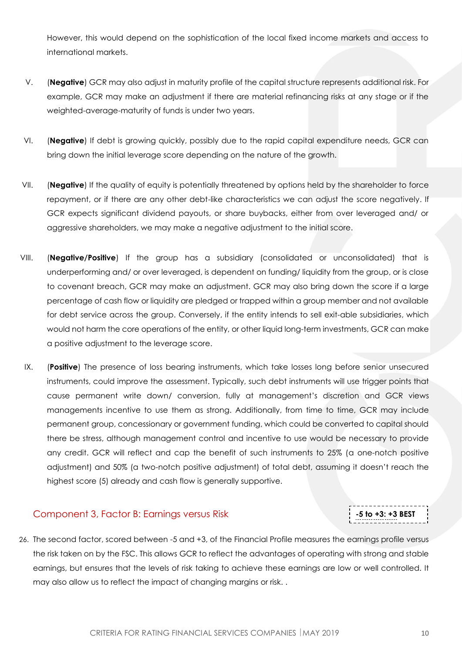However, this would depend on the sophistication of the local fixed income markets and access to international markets.

- V. (**Negative**) GCR may also adjust in maturity profile of the capital structure represents additional risk. For example, GCR may make an adjustment if there are material refinancing risks at any stage or if the weighted-average-maturity of funds is under two years.
- VI. (**Negative**) If debt is growing quickly, possibly due to the rapid capital expenditure needs, GCR can bring down the initial leverage score depending on the nature of the growth.
- VII. (**Negative**) If the quality of equity is potentially threatened by options held by the shareholder to force repayment, or if there are any other debt-like characteristics we can adjust the score negatively. If GCR expects significant dividend payouts, or share buybacks, either from over leveraged and/ or aggressive shareholders, we may make a negative adjustment to the initial score.
- VIII. (**Negative/Positive**) If the group has a subsidiary (consolidated or unconsolidated) that is underperforming and/ or over leveraged, is dependent on funding/ liquidity from the group, or is close to covenant breach, GCR may make an adjustment. GCR may also bring down the score if a large percentage of cash flow or liquidity are pledged or trapped within a group member and not available for debt service across the group. Conversely, if the entity intends to sell exit-able subsidiaries, which would not harm the core operations of the entity, or other liquid long-term investments, GCR can make a positive adjustment to the leverage score.
- IX. (**Positive**) The presence of loss bearing instruments, which take losses long before senior unsecured instruments, could improve the assessment. Typically, such debt instruments will use trigger points that cause permanent write down/ conversion, fully at management's discretion and GCR views managements incentive to use them as strong. Additionally, from time to time, GCR may include permanent group, concessionary or government funding, which could be converted to capital should there be stress, although management control and incentive to use would be necessary to provide any credit. GCR will reflect and cap the benefit of such instruments to 25% (a one-notch positive adjustment) and 50% (a two-notch positive adjustment) of total debt, assuming it doesn't reach the highest score (5) already and cash flow is generally supportive.

## <span id="page-9-0"></span>Component 3, Factor B: Earnings versus Risk

## **-5 to +3: +3 BEST**

**1------**

26. The second factor, scored between -5 and +3, of the Financial Profile measures the earnings profile versus the risk taken on by the FSC. This allows GCR to reflect the advantages of operating with strong and stable earnings, but ensures that the levels of risk taking to achieve these earnings are low or well controlled. It may also allow us to reflect the impact of changing margins or risk. .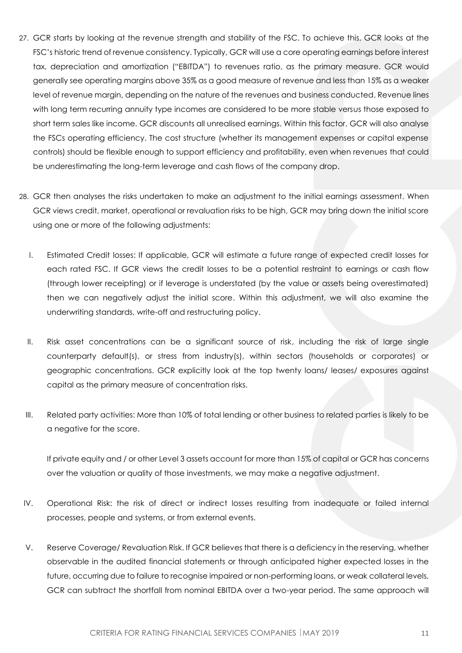- 27. GCR starts by looking at the revenue strength and stability of the FSC. To achieve this, GCR looks at the FSC's historic trend of revenue consistency. Typically, GCR will use a core operating earnings before interest tax, depreciation and amortization ("EBITDA") to revenues ratio, as the primary measure. GCR would generally see operating margins above 35% as a good measure of revenue and less than 15% as a weaker level of revenue margin, depending on the nature of the revenues and business conducted. Revenue lines with long term recurring annuity type incomes are considered to be more stable versus those exposed to short term sales like income. GCR discounts all unrealised earnings. Within this factor, GCR will also analyse the FSCs operating efficiency. The cost structure (whether its management expenses or capital expense controls) should be flexible enough to support efficiency and profitability, even when revenues that could be underestimating the long-term leverage and cash flows of the company drop.
- 28. GCR then analyses the risks undertaken to make an adjustment to the initial earnings assessment. When GCR views credit, market, operational or revaluation risks to be high, GCR may bring down the initial score using one or more of the following adjustments:
	- I. Estimated Credit losses: If applicable, GCR will estimate a future range of expected credit losses for each rated FSC. If GCR views the credit losses to be a potential restraint to earnings or cash flow (through lower receipting) or if leverage is understated (by the value or assets being overestimated) then we can negatively adjust the initial score. Within this adjustment, we will also examine the underwriting standards, write-off and restructuring policy.
	- II. Risk asset concentrations can be a significant source of risk, including the risk of large single counterparty default(s), or stress from industry(s), within sectors (households or corporates) or geographic concentrations. GCR explicitly look at the top twenty loans/ leases/ exposures against capital as the primary measure of concentration risks.
	- III. Related party activities: More than 10% of total lending or other business to related parties is likely to be a negative for the score.

If private equity and / or other Level 3 assets account for more than 15% of capital or GCR has concerns over the valuation or quality of those investments, we may make a negative adjustment.

- IV. Operational Risk: the risk of direct or indirect losses resulting from inadequate or failed internal processes, people and systems, or from external events.
- V. Reserve Coverage/ Revaluation Risk. If GCR believes that there is a deficiency in the reserving, whether observable in the audited financial statements or through anticipated higher expected losses in the future, occurring due to failure to recognise impaired or non-performing loans, or weak collateral levels, GCR can subtract the shortfall from nominal EBITDA over a two-year period. The same approach will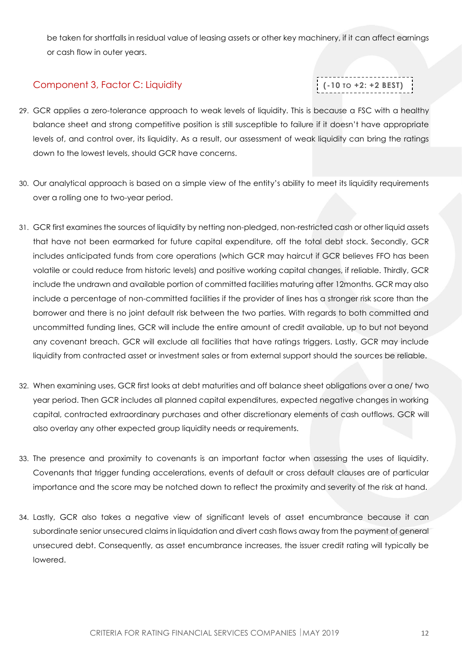be taken for shortfalls in residual value of leasing assets or other key machinery, if it can affect earnings or cash flow in outer years.

## <span id="page-11-0"></span>Component 3, Factor C: Liquidity

**(-10 TO +2: +2 BEST)**

- 29. GCR applies a zero-tolerance approach to weak levels of liquidity. This is because a FSC with a healthy balance sheet and strong competitive position is still susceptible to failure if it doesn't have appropriate levels of, and control over, its liquidity. As a result, our assessment of weak liquidity can bring the ratings down to the lowest levels, should GCR have concerns.
- 30. Our analytical approach is based on a simple view of the entity's ability to meet its liquidity requirements over a rolling one to two-year period.
- 31. GCR first examines the sources of liquidity by netting non-pledged, non-restricted cash or other liquid assets that have not been earmarked for future capital expenditure, off the total debt stock. Secondly, GCR includes anticipated funds from core operations (which GCR may haircut if GCR believes FFO has been volatile or could reduce from historic levels) and positive working capital changes, if reliable. Thirdly, GCR include the undrawn and available portion of committed facilities maturing after 12months. GCR may also include a percentage of non-committed facilities if the provider of lines has a stronger risk score than the borrower and there is no joint default risk between the two parties. With regards to both committed and uncommitted funding lines, GCR will include the entire amount of credit available, up to but not beyond any covenant breach. GCR will exclude all facilities that have ratings triggers. Lastly, GCR may include liquidity from contracted asset or investment sales or from external support should the sources be reliable.
- 32. When examining uses, GCR first looks at debt maturities and off balance sheet obligations over a one/ two year period. Then GCR includes all planned capital expenditures, expected negative changes in working capital, contracted extraordinary purchases and other discretionary elements of cash outflows. GCR will also overlay any other expected group liquidity needs or requirements.
- 33. The presence and proximity to covenants is an important factor when assessing the uses of liquidity. Covenants that trigger funding accelerations, events of default or cross default clauses are of particular importance and the score may be notched down to reflect the proximity and severity of the risk at hand.
- 34. Lastly, GCR also takes a negative view of significant levels of asset encumbrance because it can subordinate senior unsecured claims in liquidation and divert cash flows away from the payment of general unsecured debt. Consequently, as asset encumbrance increases, the issuer credit rating will typically be lowered.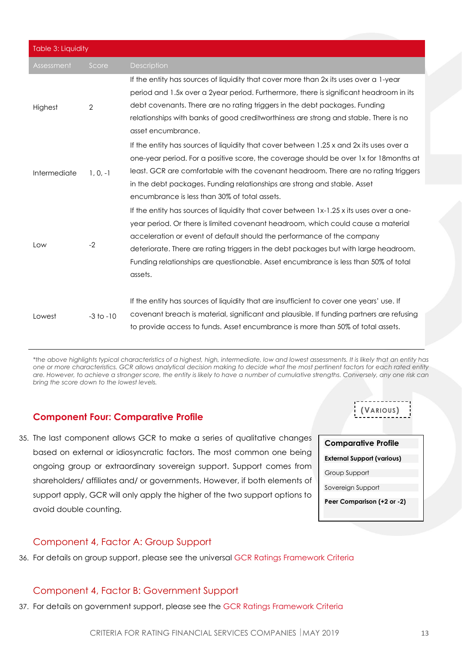| Table 3: Liquidity |                |                                                                                                            |  |  |
|--------------------|----------------|------------------------------------------------------------------------------------------------------------|--|--|
| Assessment         | Score          | <b>Description</b>                                                                                         |  |  |
|                    |                | If the entity has sources of liquidity that cover more than 2x its uses over a 1-year                      |  |  |
|                    |                | period and 1.5x over a 2year period. Furthermore, there is significant headroom in its                     |  |  |
| Highest            | $\overline{2}$ | debt covenants. There are no rating triggers in the debt packages. Funding                                 |  |  |
|                    |                | relationships with banks of good creditworthiness are strong and stable. There is no<br>asset encumbrance. |  |  |
|                    |                | If the entity has sources of liquidity that cover between 1.25 x and 2x its uses over a                    |  |  |
|                    | $1, 0, -1$     | one-year period. For a positive score, the coverage should be over 1x for 18 months at                     |  |  |
| Intermediate       |                | least. GCR are comfortable with the covenant headroom. There are no rating triggers                        |  |  |
|                    |                | in the debt packages. Funding relationships are strong and stable. Asset                                   |  |  |
|                    |                | encumbrance is less than 30% of total assets.                                                              |  |  |
|                    | $-2$           | If the entity has sources of liquidity that cover between 1x-1.25 x its uses over a one-                   |  |  |
|                    |                | year period. Or there is limited covenant headroom, which could cause a material                           |  |  |
|                    |                | acceleration or event of default should the performance of the company                                     |  |  |
| Low                |                | deteriorate. There are rating triggers in the debt packages but with large headroom.                       |  |  |
|                    |                | Funding relationships are questionable. Asset encumbrance is less than 50% of total                        |  |  |
|                    |                | assets.                                                                                                    |  |  |
|                    |                | If the entity has sources of liquidity that are insufficient to cover one years' use. If                   |  |  |
| Lowest             | $-3$ to $-10$  | covenant breach is material, significant and plausible. If funding partners are refusing                   |  |  |
|                    |                | to provide access to funds. Asset encumbrance is more than 50% of total assets.                            |  |  |

*\*the above highlights typical characteristics of a highest, high, intermediate, low and lowest assessments. It is likely that an entity has one or more characteristics. GCR allows analytical decision making to decide what the most pertinent factors for each rated entity are. However, to achieve a stronger score, the entity is likely to have a number of cumulative strengths. Conversely, any one risk can bring the score down to the lowest levels.* 

## <span id="page-12-0"></span>**Component Four: Comparative Profile**

35. The last component allows GCR to make a series of qualitative changes based on external or idiosyncratic factors. The most common one being ongoing group or extraordinary sovereign support. Support comes from shareholders/ affiliates and/ or governments. However, if both elements of support apply, GCR will only apply the higher of the two support options to avoid double counting.

| <b>Comparative Profile</b>        |
|-----------------------------------|
| <b>External Support (various)</b> |
| Group Support                     |
| Sovereign Support                 |
| Peer Comparison (+2 or -2)        |

**(VARIOUS)**

## <span id="page-12-1"></span>Component 4, Factor A: Group Support

36. For details on group support, please see the universal GCR Ratings Framework Criteria

## <span id="page-12-2"></span>Component 4, Factor B: Government Support

37. For details on government support, please see the GCR Ratings Framework Criteria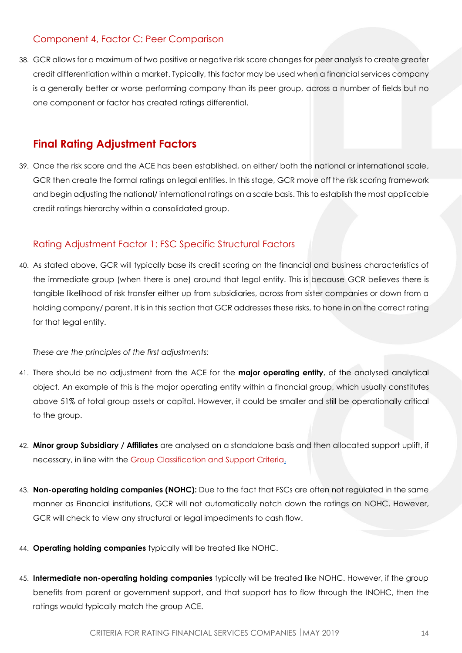## <span id="page-13-0"></span>Component 4, Factor C: Peer Comparison

38. GCR allows for a maximum of two positive or negative risk score changes for peer analysis to create greater credit differentiation within a market. Typically, this factor may be used when a financial services company is a generally better or worse performing company than its peer group, across a number of fields but no one component or factor has created ratings differential.

## <span id="page-13-1"></span>**Final Rating Adjustment Factors**

39. Once the risk score and the ACE has been established, on either/ both the national or international scale, GCR then create the formal ratings on legal entities. In this stage, GCR move off the risk scoring framework and begin adjusting the national/ international ratings on a scale basis. This to establish the most applicable credit ratings hierarchy within a consolidated group.

## <span id="page-13-2"></span>Rating Adjustment Factor 1: FSC Specific Structural Factors

40. As stated above, GCR will typically base its credit scoring on the financial and business characteristics of the immediate group (when there is one) around that legal entity. This is because GCR believes there is tangible likelihood of risk transfer either up from subsidiaries, across from sister companies or down from a holding company/ parent. It is in this section that GCR addresses these risks, to hone in on the correct rating for that legal entity.

*These are the principles of the first adjustments:*

- 41. There should be no adjustment from the ACE for the **major operating entity**, of the analysed analytical object. An example of this is the major operating entity within a financial group, which usually constitutes above 51% of total group assets or capital. However, it could be smaller and still be operationally critical to the group.
- 42. **Minor group Subsidiary / Affiliates** are analysed on a standalone basis and then allocated support uplift, if necessary, in line with the [Group Classification and Support Criteria.](https://globalratings.net/news/article/gcr-requests-public-comment-on-draft-ratings-framework-criteria-and-draft-r)
- 43. **Non-operating holding companies (NOHC):** Due to the fact that FSCs are often not regulated in the same manner as Financial institutions, GCR will not automatically notch down the ratings on NOHC. However, GCR will check to view any structural or legal impediments to cash flow.
- 44. **Operating holding companies** typically will be treated like NOHC.
- 45. **Intermediate non-operating holding companies** typically will be treated like NOHC. However, if the group benefits from parent or government support, and that support has to flow through the INOHC, then the ratings would typically match the group ACE.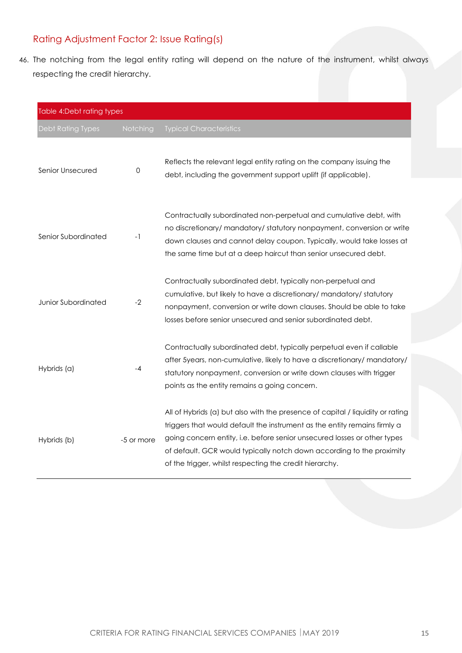## <span id="page-14-0"></span>Rating Adjustment Factor 2: Issue Rating(s)

46. The notching from the legal entity rating will depend on the nature of the instrument, whilst always respecting the credit hierarchy.

| Table 4:Debt rating types |            |                                                                                                                                                                                                                                                                                                                                                                             |  |  |  |
|---------------------------|------------|-----------------------------------------------------------------------------------------------------------------------------------------------------------------------------------------------------------------------------------------------------------------------------------------------------------------------------------------------------------------------------|--|--|--|
| <b>Debt Rating Types</b>  | Notching   | <b>Typical Characteristics</b>                                                                                                                                                                                                                                                                                                                                              |  |  |  |
| Senior Unsecured          | 0          | Reflects the relevant legal entity rating on the company issuing the<br>debt, including the government support uplift (if applicable).                                                                                                                                                                                                                                      |  |  |  |
| Senior Subordinated       | $-1$       | Contractually subordinated non-perpetual and cumulative debt, with<br>no discretionary/ mandatory/ statutory nonpayment, conversion or write<br>down clauses and cannot delay coupon. Typically, would take losses at<br>the same time but at a deep haircut than senior unsecured debt.                                                                                    |  |  |  |
| Junior Subordinated       | $-2$       | Contractually subordinated debt, typically non-perpetual and<br>cumulative, but likely to have a discretionary/ mandatory/ statutory<br>nonpayment, conversion or write down clauses. Should be able to take<br>losses before senior unsecured and senior subordinated debt.                                                                                                |  |  |  |
| Hybrids (a)               | -4         | Contractually subordinated debt, typically perpetual even if callable<br>after 5years, non-cumulative, likely to have a discretionary/ mandatory/<br>statutory nonpayment, conversion or write down clauses with trigger<br>points as the entity remains a going concern.                                                                                                   |  |  |  |
| Hybrids (b)               | -5 or more | All of Hybrids (a) but also with the presence of capital / liquidity or rating<br>triggers that would default the instrument as the entity remains firmly a<br>going concern entity, i.e. before senior unsecured losses or other types<br>of default. GCR would typically notch down according to the proximity<br>of the trigger, whilst respecting the credit hierarchy. |  |  |  |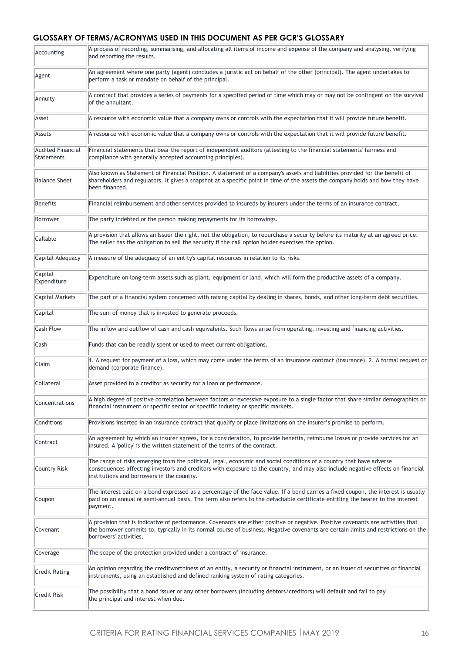### **GLOSSARY OF TERMS/ACRONYMS USED IN THIS DOCUMENT AS PER GCR'S GLOSSARY**

| Accounting                             | A process of recording, summarising, and allocating all items of income and expense of the company and analysing, verifying<br>and reporting the results.                                                                                                                                             |
|----------------------------------------|-------------------------------------------------------------------------------------------------------------------------------------------------------------------------------------------------------------------------------------------------------------------------------------------------------|
| Agent                                  | An agreement where one party (agent) concludes a juristic act on behalf of the other (principal). The agent undertakes to<br>perform a task or mandate on behalf of the principal.                                                                                                                    |
| Annuity                                | A contract that provides a series of payments for a specified period of time which may or may not be contingent on the survival<br>of the annuitant.                                                                                                                                                  |
| Asset                                  | A resource with economic value that a company owns or controls with the expectation that it will provide future benefit.                                                                                                                                                                              |
| Assets                                 | A resource with economic value that a company owns or controls with the expectation that it will provide future benefit.                                                                                                                                                                              |
| <b>Audited Financial</b><br>Statements | Financial statements that bear the report of independent auditors (attesting to the financial statements' fairness and<br>compliance with generally accepted accounting principles).                                                                                                                  |
| <b>Balance Sheet</b>                   | Also known as Statement of Financial Position. A statement of a company's assets and liabilities provided for the benefit of<br>shareholders and regulators. It gives a snapshot at a specific point in time of the assets the company holds and how they have<br>been financed.                      |
| Benefits                               | Financial reimbursement and other services provided to insureds by insurers under the terms of an insurance contract.                                                                                                                                                                                 |
| Borrower                               | The party indebted or the person making repayments for its borrowings.                                                                                                                                                                                                                                |
| Callable                               | A provision that allows an Issuer the right, not the obligation, to repurchase a security before its maturity at an agreed price.<br>The seller has the obligation to sell the security if the call option holder exercises the option.                                                               |
| Capital Adequacy                       | A measure of the adequacy of an entity's capital resources in relation to its risks.                                                                                                                                                                                                                  |
| Capital<br>Expenditure                 | Expenditure on long-term assets such as plant, equipment or land, which will form the productive assets of a company.                                                                                                                                                                                 |
| Capital Markets                        | The part of a financial system concerned with raising capital by dealing in shares, bonds, and other long-term debt securities.                                                                                                                                                                       |
| Capital                                | The sum of money that is invested to generate proceeds.                                                                                                                                                                                                                                               |
| <b>Cash Flow</b>                       | The inflow and outflow of cash and cash equivalents. Such flows arise from operating, investing and financing activities.                                                                                                                                                                             |
| Cash                                   | Funds that can be readily spent or used to meet current obligations.                                                                                                                                                                                                                                  |
| Claim                                  | 1. A request for payment of a loss, which may come under the terms of an insurance contract (insurance). 2. A formal request or<br>demand (corporate finance).                                                                                                                                        |
| Collateral                             | Asset provided to a creditor as security for a loan or performance.                                                                                                                                                                                                                                   |
| Concentrations                         | A high degree of positive correlation between factors or excessive exposure to a single factor that share similar demographics or<br>financial instrument or specific sector or specific industry or specific markets.                                                                                |
| Conditions                             | Provisions inserted in an insurance contract that qualify or place limitations on the insurer's promise to perform.                                                                                                                                                                                   |
| Contract                               | An agreement by which an insurer agrees, for a consideration, to provide benefits, reimburse losses or provide services for an<br>insured. A 'policy' is the written statement of the terms of the contract.                                                                                          |
| Country Risk                           | The range of risks emerging from the political, legal, economic and social conditions of a country that have adverse<br>consequences affecting investors and creditors with exposure to the country, and may also include negative effects on financial<br>institutions and borrowers in the country. |
| Coupon                                 | The interest paid on a bond expressed as a percentage of the face value. If a bond carries a fixed coupon, the interest is usually<br>paid on an annual or semi-annual basis. The term also refers to the detachable certificate entitling the bearer to the interest<br>payment.                     |
| Covenant                               | A provision that is indicative of performance. Covenants are either positive or negative. Positive covenants are activities that<br>the borrower commits to, typically in its normal course of business. Negative covenants are certain limits and restrictions on the<br>borrowers' activities.      |
| Coverage                               | The scope of the protection provided under a contract of insurance.                                                                                                                                                                                                                                   |
| <b>Credit Rating</b>                   | An opinion regarding the creditworthiness of an entity, a security or financial instrument, or an issuer of securities or financial<br>instruments, using an established and defined ranking system of rating categories.                                                                             |
| Credit Risk                            | The possibility that a bond issuer or any other borrowers (including debtors/creditors) will default and fail to pay<br>the principal and interest when due.                                                                                                                                          |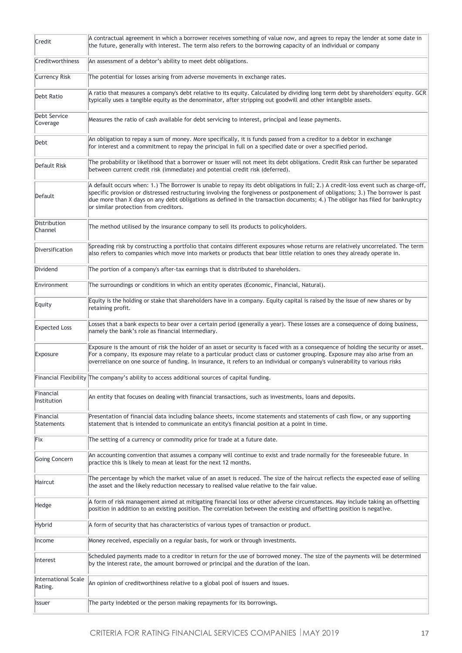| Credit                                | A contractual agreement in which a borrower receives something of value now, and agrees to repay the lender at some date in<br>the future, generally with interest. The term also refers to the borrowing capacity of an individual or company                                                                                                                                                                                                       |  |  |  |  |  |
|---------------------------------------|------------------------------------------------------------------------------------------------------------------------------------------------------------------------------------------------------------------------------------------------------------------------------------------------------------------------------------------------------------------------------------------------------------------------------------------------------|--|--|--|--|--|
| Creditworthiness                      | An assessment of a debtor's ability to meet debt obligations.                                                                                                                                                                                                                                                                                                                                                                                        |  |  |  |  |  |
| <b>Currency Risk</b>                  | The potential for losses arising from adverse movements in exchange rates.                                                                                                                                                                                                                                                                                                                                                                           |  |  |  |  |  |
| Debt Ratio                            | A ratio that measures a company's debt relative to its equity. Calculated by dividing long term debt by shareholders' equity. GCR<br>typically uses a tangible equity as the denominator, after stripping out goodwill and other intangible assets.                                                                                                                                                                                                  |  |  |  |  |  |
| Debt Service<br>Coverage              | Measures the ratio of cash available for debt servicing to interest, principal and lease payments.                                                                                                                                                                                                                                                                                                                                                   |  |  |  |  |  |
| Debt                                  | An obligation to repay a sum of money. More specifically, it is funds passed from a creditor to a debtor in exchange<br>for interest and a commitment to repay the principal in full on a specified date or over a specified period.                                                                                                                                                                                                                 |  |  |  |  |  |
| Default Risk                          | The probability or likelihood that a borrower or issuer will not meet its debt obligations. Credit Risk can further be separated<br>between current credit risk (immediate) and potential credit risk (deferred).                                                                                                                                                                                                                                    |  |  |  |  |  |
| Default                               | A default occurs when: 1.) The Borrower is unable to repay its debt obligations in full; 2.) A credit-loss event such as charge-off,<br>specific provision or distressed restructuring involving the forgiveness or postponement of obligations; 3.) The borrower is past<br>due more than X days on any debt obligations as defined in the transaction documents; 4.) The obligor has filed for bankruptcy<br>or similar protection from creditors. |  |  |  |  |  |
| Distribution<br>Channel               | The method utilised by the insurance company to sell its products to policyholders.                                                                                                                                                                                                                                                                                                                                                                  |  |  |  |  |  |
| Diversification                       | Spreading risk by constructing a portfolio that contains different exposures whose returns are relatively uncorrelated. The term<br>also refers to companies which move into markets or products that bear little relation to ones they already operate in.                                                                                                                                                                                          |  |  |  |  |  |
| Dividend                              | The portion of a company's after-tax earnings that is distributed to shareholders.                                                                                                                                                                                                                                                                                                                                                                   |  |  |  |  |  |
| Environment                           | The surroundings or conditions in which an entity operates (Economic, Financial, Natural).                                                                                                                                                                                                                                                                                                                                                           |  |  |  |  |  |
| Equity                                | Equity is the holding or stake that shareholders have in a company. Equity capital is raised by the issue of new shares or by<br>retaining profit.                                                                                                                                                                                                                                                                                                   |  |  |  |  |  |
| <b>Expected Loss</b>                  | Losses that a bank expects to bear over a certain period (generally a year). These losses are a consequence of doing business,<br>namely the bank's role as financial intermediary.                                                                                                                                                                                                                                                                  |  |  |  |  |  |
| Exposure                              | Exposure is the amount of risk the holder of an asset or security is faced with as a consequence of holding the security or asset.<br>For a company, its exposure may relate to a particular product class or customer grouping. Exposure may also arise from an<br>overreliance on one source of funding. In insurance, it refers to an individual or company's vulnerability to various risks                                                      |  |  |  |  |  |
|                                       | Financial Flexibility The company's ability to access additional sources of capital funding.                                                                                                                                                                                                                                                                                                                                                         |  |  |  |  |  |
| Financial<br>Institution              | An entity that focuses on dealing with financial transactions, such as investments, loans and deposits.                                                                                                                                                                                                                                                                                                                                              |  |  |  |  |  |
| Financial<br>Statements               | Presentation of financial data including balance sheets, income statements and statements of cash flow, or any supporting<br>statement that is intended to communicate an entity's financial position at a point in time.                                                                                                                                                                                                                            |  |  |  |  |  |
| Fix                                   | The setting of a currency or commodity price for trade at a future date.                                                                                                                                                                                                                                                                                                                                                                             |  |  |  |  |  |
| Going Concern                         | An accounting convention that assumes a company will continue to exist and trade normally for the foreseeable future. In<br>practice this is likely to mean at least for the next 12 months.                                                                                                                                                                                                                                                         |  |  |  |  |  |
| Haircut                               | The percentage by which the market value of an asset is reduced. The size of the haircut reflects the expected ease of selling<br>the asset and the likely reduction necessary to realised value relative to the fair value.                                                                                                                                                                                                                         |  |  |  |  |  |
| Hedge                                 | A form of risk management aimed at mitigating financial loss or other adverse circumstances. May include taking an offsetting<br>position in addition to an existing position. The correlation between the existing and offsetting position is negative.                                                                                                                                                                                             |  |  |  |  |  |
| Hybrid                                | A form of security that has characteristics of various types of transaction or product.                                                                                                                                                                                                                                                                                                                                                              |  |  |  |  |  |
| Income                                | Money received, especially on a regular basis, for work or through investments.                                                                                                                                                                                                                                                                                                                                                                      |  |  |  |  |  |
| Interest                              | Scheduled payments made to a creditor in return for the use of borrowed money. The size of the payments will be determined<br>by the interest rate, the amount borrowed or principal and the duration of the loan.                                                                                                                                                                                                                                   |  |  |  |  |  |
| <b>International Scale</b><br>Rating. | An opinion of creditworthiness relative to a global pool of issuers and issues.                                                                                                                                                                                                                                                                                                                                                                      |  |  |  |  |  |
| <b>Issuer</b>                         | The party indebted or the person making repayments for its borrowings.                                                                                                                                                                                                                                                                                                                                                                               |  |  |  |  |  |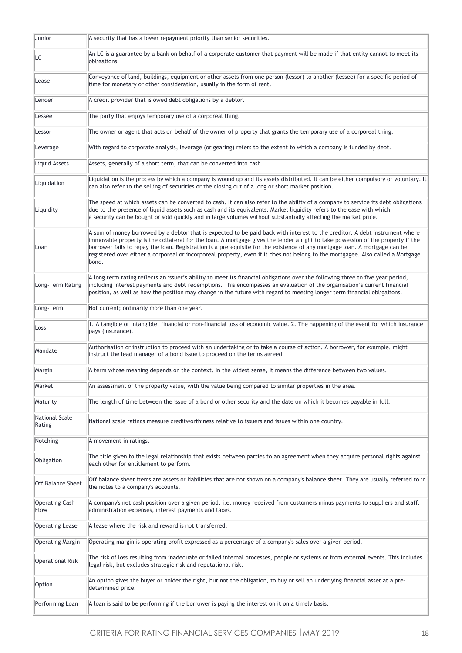| Junior                        | A security that has a lower repayment priority than senior securities.                                                                                                                                                                                                                                                                                                                                                                                                                                                                    |
|-------------------------------|-------------------------------------------------------------------------------------------------------------------------------------------------------------------------------------------------------------------------------------------------------------------------------------------------------------------------------------------------------------------------------------------------------------------------------------------------------------------------------------------------------------------------------------------|
| LC                            | An LC is a guarantee by a bank on behalf of a corporate customer that payment will be made if that entity cannot to meet its<br>obligations.                                                                                                                                                                                                                                                                                                                                                                                              |
| Lease                         | Conveyance of land, buildings, equipment or other assets from one person (lessor) to another (lessee) for a specific period of<br>time for monetary or other consideration, usually in the form of rent.                                                                                                                                                                                                                                                                                                                                  |
| Lender                        | A credit provider that is owed debt obligations by a debtor.                                                                                                                                                                                                                                                                                                                                                                                                                                                                              |
| Lessee                        | The party that enjoys temporary use of a corporeal thing.                                                                                                                                                                                                                                                                                                                                                                                                                                                                                 |
| Lessor                        | The owner or agent that acts on behalf of the owner of property that grants the temporary use of a corporeal thing.                                                                                                                                                                                                                                                                                                                                                                                                                       |
| Leverage                      | With regard to corporate analysis, leverage (or gearing) refers to the extent to which a company is funded by debt.                                                                                                                                                                                                                                                                                                                                                                                                                       |
| Liquid Assets                 | Assets, generally of a short term, that can be converted into cash.                                                                                                                                                                                                                                                                                                                                                                                                                                                                       |
| Liquidation                   | Liquidation is the process by which a company is wound up and its assets distributed. It can be either compulsory or voluntary. It<br>can also refer to the selling of securities or the closing out of a long or short market position.                                                                                                                                                                                                                                                                                                  |
| Liquidity                     | The speed at which assets can be converted to cash. It can also refer to the ability of a company to service its debt obligations<br>due to the presence of liquid assets such as cash and its equivalents. Market liquidity refers to the ease with which<br>a security can be bought or sold quickly and in large volumes without substantially affecting the market price.                                                                                                                                                             |
| Loan                          | A sum of money borrowed by a debtor that is expected to be paid back with interest to the creditor. A debt instrument where<br>immovable property is the collateral for the loan. A mortgage gives the lender a right to take possession of the property if the<br>borrower fails to repay the loan. Registration is a prerequisite for the existence of any mortgage loan. A mortgage can be<br>registered over either a corporeal or incorporeal property, even if it does not belong to the mortgagee. Also called a Mortgage<br>bond. |
| Long-Term Rating              | A long term rating reflects an issuer's ability to meet its financial obligations over the following three to five year period,<br>including interest payments and debt redemptions. This encompasses an evaluation of the organisation's current financial<br>position, as well as how the position may change in the future with regard to meeting longer term financial obligations.                                                                                                                                                   |
| Long-Term                     | Not current; ordinarily more than one year.                                                                                                                                                                                                                                                                                                                                                                                                                                                                                               |
| Loss                          | 1. A tangible or intangible, financial or non-financial loss of economic value. 2. The happening of the event for which insurance<br>pays (insurance).                                                                                                                                                                                                                                                                                                                                                                                    |
| Mandate                       | Authorisation or instruction to proceed with an undertaking or to take a course of action. A borrower, for example, might<br>instruct the lead manager of a bond issue to proceed on the terms agreed.                                                                                                                                                                                                                                                                                                                                    |
| Margin                        | A term whose meaning depends on the context. In the widest sense, it means the difference between two values.                                                                                                                                                                                                                                                                                                                                                                                                                             |
| Market                        | An assessment of the property value, with the value being compared to similar properties in the area.                                                                                                                                                                                                                                                                                                                                                                                                                                     |
| Maturity                      | The length of time between the issue of a bond or other security and the date on which it becomes payable in full.                                                                                                                                                                                                                                                                                                                                                                                                                        |
| National Scale<br>Rating      | National scale ratings measure creditworthiness relative to issuers and issues within one country.                                                                                                                                                                                                                                                                                                                                                                                                                                        |
| Notching                      | A movement in ratings.                                                                                                                                                                                                                                                                                                                                                                                                                                                                                                                    |
| Obligation                    | The title given to the legal relationship that exists between parties to an agreement when they acquire personal rights against<br>each other for entitlement to perform.                                                                                                                                                                                                                                                                                                                                                                 |
| <b>Off Balance Sheet</b>      | Off balance sheet items are assets or liabilities that are not shown on a company's balance sheet. They are usually referred to in<br>the notes to a company's accounts.                                                                                                                                                                                                                                                                                                                                                                  |
| <b>Operating Cash</b><br>Flow | A company's net cash position over a given period, i.e. money received from customers minus payments to suppliers and staff,<br>administration expenses, interest payments and taxes.                                                                                                                                                                                                                                                                                                                                                     |
| <b>Operating Lease</b>        | A lease where the risk and reward is not transferred.                                                                                                                                                                                                                                                                                                                                                                                                                                                                                     |
| Operating Margin              | Operating margin is operating profit expressed as a percentage of a company's sales over a given period.                                                                                                                                                                                                                                                                                                                                                                                                                                  |
| <b>Operational Risk</b>       | The risk of loss resulting from inadequate or failed internal processes, people or systems or from external events. This includes<br>legal risk, but excludes strategic risk and reputational risk.                                                                                                                                                                                                                                                                                                                                       |
| Option                        | An option gives the buyer or holder the right, but not the obligation, to buy or sell an underlying financial asset at a pre-<br>determined price.                                                                                                                                                                                                                                                                                                                                                                                        |
| Performing Loan               | A loan is said to be performing if the borrower is paying the interest on it on a timely basis.                                                                                                                                                                                                                                                                                                                                                                                                                                           |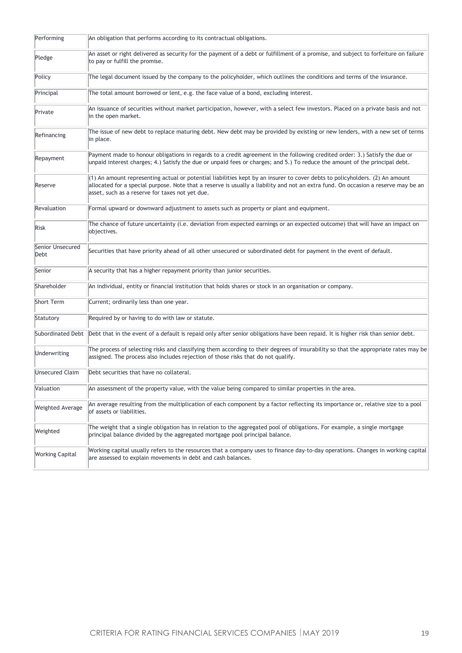| Performing               | An obligation that performs according to its contractual obligations.                                                                                                                                                                                                                                                     |
|--------------------------|---------------------------------------------------------------------------------------------------------------------------------------------------------------------------------------------------------------------------------------------------------------------------------------------------------------------------|
| Pledge                   | An asset or right delivered as security for the payment of a debt or fulfillment of a promise, and subject to forfeiture on failure<br>to pay or fulfill the promise.                                                                                                                                                     |
| Policy                   | The legal document issued by the company to the policyholder, which outlines the conditions and terms of the insurance.                                                                                                                                                                                                   |
| Principal                | The total amount borrowed or lent, e.g. the face value of a bond, excluding interest.                                                                                                                                                                                                                                     |
| Private                  | An issuance of securities without market participation, however, with a select few investors. Placed on a private basis and not<br>in the open market.                                                                                                                                                                    |
| Refinancing              | The issue of new debt to replace maturing debt. New debt may be provided by existing or new lenders, with a new set of terms<br>in place.                                                                                                                                                                                 |
| Repayment                | Payment made to honour obligations in regards to a credit agreement in the following credited order: 3.) Satisfy the due or<br>unpaid interest charges; 4.) Satisfy the due or unpaid fees or charges; and 5.) To reduce the amount of the principal debt.                                                                |
| Reserve                  | $(1)$ An amount representing actual or potential liabilities kept by an insurer to cover debts to policyholders. $(2)$ An amount<br>allocated for a special purpose. Note that a reserve is usually a liability and not an extra fund. On occasion a reserve may be an<br>asset, such as a reserve for taxes not yet due. |
| Revaluation              | Formal upward or downward adjustment to assets such as property or plant and equipment.                                                                                                                                                                                                                                   |
| Risk                     | The chance of future uncertainty (i.e. deviation from expected earnings or an expected outcome) that will have an impact on<br>objectives.                                                                                                                                                                                |
| Senior Unsecured<br>Debt | Securities that have priority ahead of all other unsecured or subordinated debt for payment in the event of default.                                                                                                                                                                                                      |
| Senior                   | A security that has a higher repayment priority than junior securities.                                                                                                                                                                                                                                                   |
| Shareholder              | An individual, entity or financial institution that holds shares or stock in an organisation or company.                                                                                                                                                                                                                  |
| Short Term               | Current; ordinarily less than one year.                                                                                                                                                                                                                                                                                   |
| Statutory                | Required by or having to do with law or statute.                                                                                                                                                                                                                                                                          |
| Subordinated Debt        | Debt that in the event of a default is repaid only after senior obligations have been repaid. It is higher risk than senior debt.                                                                                                                                                                                         |
| Underwriting             | The process of selecting risks and classifying them according to their degrees of insurability so that the appropriate rates may be<br>assigned. The process also includes rejection of those risks that do not qualify.                                                                                                  |
| <b>Unsecured Claim</b>   | Debt securities that have no collateral.                                                                                                                                                                                                                                                                                  |
| Valuation                | An assessment of the property value, with the value being compared to similar properties in the area.                                                                                                                                                                                                                     |
| <b>Weighted Average</b>  | An average resulting from the multiplication of each component by a factor reflecting its importance or, relative size to a pool<br>of assets or liabilities.                                                                                                                                                             |
| Weighted                 | The weight that a single obligation has in relation to the aggregated pool of obligations. For example, a single mortgage<br>principal balance divided by the aggregated mortgage pool principal balance.                                                                                                                 |
| <b>Working Capital</b>   | Working capital usually refers to the resources that a company uses to finance day-to-day operations. Changes in working capital<br>are assessed to explain movements in debt and cash balances.                                                                                                                          |